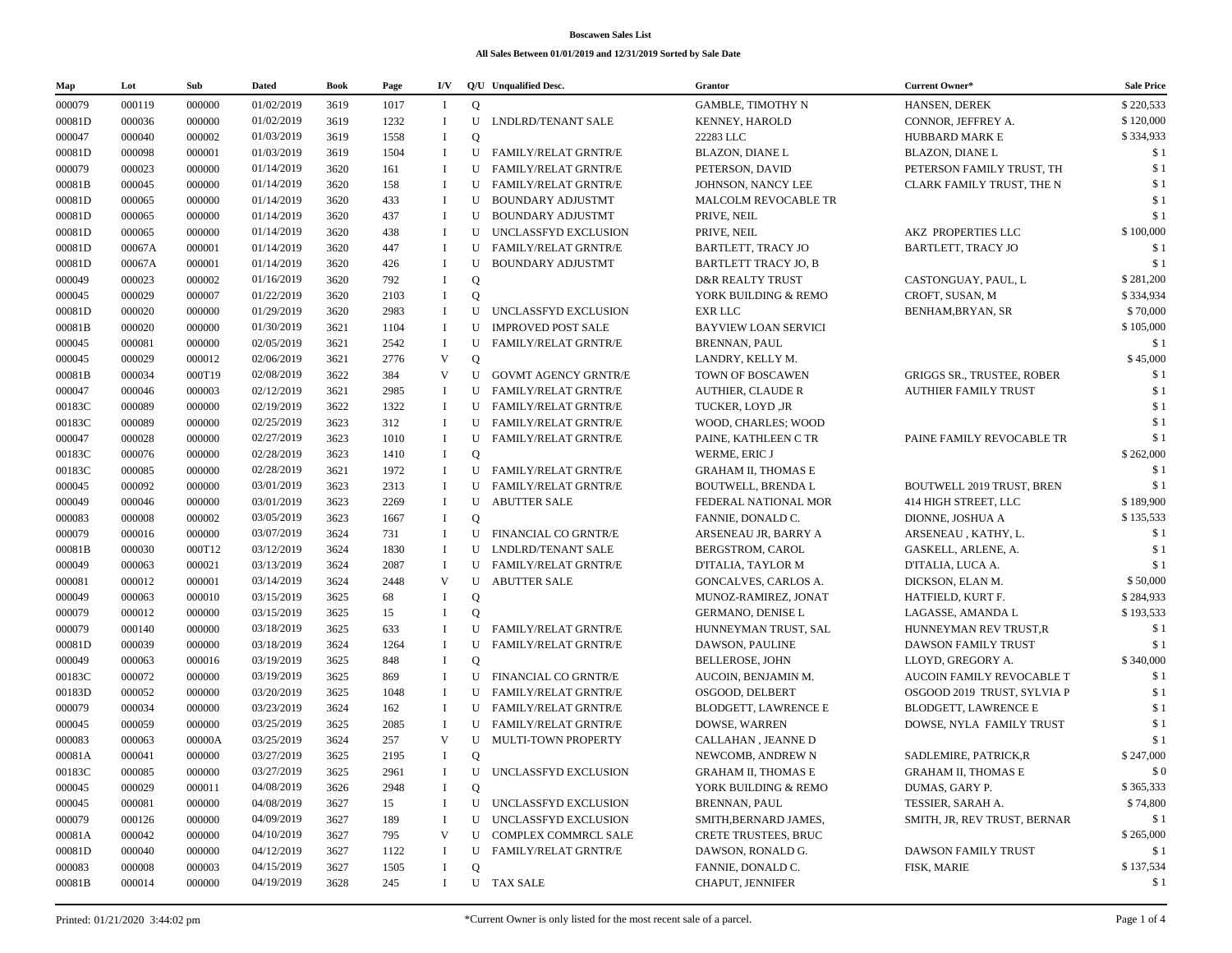## **Boscawen Sales List**

## **All Sales Between 01/01/2019 and 12/31/2019 Sorted by Sale Date**

| Map    | Lot    | Sub    | <b>Dated</b> | <b>Book</b> | Page | I/V                     |              | Q/U Unqualified Desc.       | <b>Grantor</b>              | Current Owner*                    | <b>Sale Price</b> |
|--------|--------|--------|--------------|-------------|------|-------------------------|--------------|-----------------------------|-----------------------------|-----------------------------------|-------------------|
| 000079 | 000119 | 000000 | 01/02/2019   | 3619        | 1017 | Т.                      | $\mathbf Q$  |                             | <b>GAMBLE, TIMOTHY N</b>    | HANSEN, DEREK                     | \$220,533         |
| 00081D | 000036 | 000000 | 01/02/2019   | 3619        | 1232 | $\bf{I}$                | U            | LNDLRD/TENANT SALE          | <b>KENNEY, HAROLD</b>       | CONNOR, JEFFREY A.                | \$120,000         |
| 000047 | 000040 | 000002 | 01/03/2019   | 3619        | 1558 | $\bf{I}$                | $\mathbf Q$  |                             | 22283 LLC                   | <b>HUBBARD MARK E</b>             | \$334,933         |
| 00081D | 000098 | 000001 | 01/03/2019   | 3619        | 1504 | $\bf{I}$                |              | U FAMILY/RELAT GRNTR/E      | <b>BLAZON, DIANE L</b>      | <b>BLAZON, DIANE L</b>            | \$1               |
| 000079 | 000023 | 000000 | 01/14/2019   | 3620        | 161  | <sup>1</sup>            | U            | <b>FAMILY/RELAT GRNTR/E</b> | PETERSON, DAVID             | PETERSON FAMILY TRUST, TH         | \$1               |
| 00081B | 000045 | 000000 | 01/14/2019   | 3620        | 158  | <sup>1</sup>            |              | U FAMILY/RELAT GRNTR/E      | JOHNSON, NANCY LEE          | CLARK FAMILY TRUST, THE N         | \$1               |
| 00081D | 000065 | 000000 | 01/14/2019   | 3620        | 433  | $\bf{I}$                |              | U BOUNDARY ADJUSTMT         | MALCOLM REVOCABLE TR        |                                   | \$1               |
| 00081D | 000065 | 000000 | 01/14/2019   | 3620        | 437  | $\bf{I}$                | U            | BOUNDARY ADJUSTMT           | PRIVE, NEIL                 |                                   | \$1               |
| 00081D | 000065 | 000000 | 01/14/2019   | 3620        | 438  | $\bf{I}$                |              | U UNCLASSFYD EXCLUSION      | PRIVE, NEIL                 | AKZ PROPERTIES LLC                | \$100,000         |
| 00081D | 00067A | 000001 | 01/14/2019   | 3620        | 447  | <sup>1</sup>            |              | U FAMILY/RELAT GRNTR/E      | <b>BARTLETT, TRACY JO</b>   | <b>BARTLETT, TRACY JO</b>         | \$1               |
| 00081D | 00067A | 000001 | 01/14/2019   | 3620        | 426  | $\mathbf I$             | U            | <b>BOUNDARY ADJUSTMT</b>    | <b>BARTLETT TRACY JO, B</b> |                                   | \$1               |
| 000049 | 000023 | 000002 | 01/16/2019   | 3620        | 792  | $\bf{I}$                | Q            |                             | <b>D&amp;R REALTY TRUST</b> | CASTONGUAY, PAUL, L               | \$281,200         |
| 000045 | 000029 | 000007 | 01/22/2019   | 3620        | 2103 | $\bf{I}$                | $\mathbf{O}$ |                             | YORK BUILDING & REMO        | CROFT, SUSAN, M                   | \$334,934         |
| 00081D | 000020 | 000000 | 01/29/2019   | 3620        | 2983 | $\bf{I}$                |              | U UNCLASSFYD EXCLUSION      | <b>EXR LLC</b>              | BENHAM, BRYAN, SR                 | \$70,000          |
| 00081B | 000020 | 000000 | 01/30/2019   | 3621        | 1104 | <sup>1</sup>            | $\mathbf{U}$ | <b>IMPROVED POST SALE</b>   | <b>BAYVIEW LOAN SERVICI</b> |                                   | \$105,000         |
| 000045 | 000081 | 000000 | 02/05/2019   | 3621        | 2542 | $\bf{I}$                | U            | FAMILY/RELAT GRNTR/E        | <b>BRENNAN, PAUL</b>        |                                   | \$1               |
| 000045 | 000029 | 000012 | 02/06/2019   | 3621        | 2776 | V                       | $\mathbf Q$  |                             | LANDRY, KELLY M.            |                                   | \$45,000          |
| 00081B | 000034 | 000T19 | 02/08/2019   | 3622        | 384  | $\mathbf V$             | U            | GOVMT AGENCY GRNTR/E        | TOWN OF BOSCAWEN            | <b>GRIGGS SR., TRUSTEE, ROBER</b> | \$1               |
| 000047 | 000046 | 000003 | 02/12/2019   | 3621        | 2985 | <sup>1</sup>            |              | U FAMILY/RELAT GRNTR/E      | <b>AUTHIER, CLAUDE R</b>    | <b>AUTHIER FAMILY TRUST</b>       | \$1               |
| 00183C | 000089 | 000000 | 02/19/2019   | 3622        | 1322 | $\bf{I}$                |              | U FAMILY/RELAT GRNTR/E      | TUCKER, LOYD ,JR            |                                   | \$1               |
| 00183C | 000089 | 000000 | 02/25/2019   | 3623        | 312  | $\bf{I}$                |              | U FAMILY/RELAT GRNTR/E      | WOOD, CHARLES; WOOD         |                                   | \$1               |
| 000047 | 000028 | 000000 | 02/27/2019   | 3623        | 1010 | $\bf{I}$                | U            | <b>FAMILY/RELAT GRNTR/E</b> | PAINE, KATHLEEN C TR        | PAINE FAMILY REVOCABLE TR         | \$1               |
| 00183C | 000076 | 000000 | 02/28/2019   | 3623        | 1410 | $\bf{I}$                | $\mathbf Q$  |                             | WERME, ERIC J               |                                   | \$262,000         |
| 00183C | 000085 | 000000 | 02/28/2019   | 3621        | 1972 | $\bf{I}$                |              | U FAMILY/RELAT GRNTR/E      | <b>GRAHAM II, THOMAS E</b>  |                                   | \$1               |
| 000045 | 000092 | 000000 | 03/01/2019   | 3623        | 2313 | <sup>1</sup>            | $\mathbf{U}$ | FAMILY/RELAT GRNTR/E        | <b>BOUTWELL, BRENDA L</b>   | BOUTWELL 2019 TRUST, BREN         | \$1               |
| 000049 | 000046 | 000000 | 03/01/2019   | 3623        | 2269 | $\bf{I}$                |              | <b>U ABUTTER SALE</b>       | FEDERAL NATIONAL MOR        | 414 HIGH STREET, LLC              | \$189,900         |
| 000083 | 000008 | 000002 | 03/05/2019   | 3623        | 1667 | $\bf{I}$                | $\mathbf Q$  |                             | FANNIE, DONALD C.           | DIONNE, JOSHUA A                  | \$135,533         |
| 000079 | 000016 | 000000 | 03/07/2019   | 3624        | 731  | $\bf{I}$                |              | U FINANCIAL CO GRNTR/E      | ARSENEAU JR, BARRY A        | ARSENEAU, KATHY, L.               | \$1               |
|        |        |        | 03/12/2019   |             |      |                         |              |                             |                             |                                   | \$1               |
| 00081B | 000030 | 000T12 | 03/13/2019   | 3624        | 1830 | $\bf{I}$<br>$\mathbf I$ |              | U LNDLRD/TENANT SALE        | BERGSTROM, CAROL            | GASKELL, ARLENE, A.               | \$1               |
| 000049 | 000063 | 000021 |              | 3624        | 2087 | V                       |              | U FAMILY/RELAT GRNTR/E      | D'ITALIA, TAYLOR M          | D'ITALIA, LUCA A.                 |                   |
| 000081 | 000012 | 000001 | 03/14/2019   | 3624        | 2448 |                         | U            | <b>ABUTTER SALE</b>         | GONCALVES, CARLOS A.        | DICKSON, ELAN M.                  | \$50,000          |
| 000049 | 000063 | 000010 | 03/15/2019   | 3625        | 68   | $\bf{I}$                | Q            |                             | MUNOZ-RAMIREZ, JONAT        | HATFIELD, KURT F.                 | \$284,933         |
| 000079 | 000012 | 000000 | 03/15/2019   | 3625        | 15   | $\bf{I}$                | $\mathbf{O}$ |                             | <b>GERMANO, DENISE L</b>    | LAGASSE, AMANDA L                 | \$193,533         |
| 000079 | 000140 | 000000 | 03/18/2019   | 3625        | 633  | $\mathbf I$             | U            | <b>FAMILY/RELAT GRNTR/E</b> | HUNNEYMAN TRUST, SAL        | HUNNEYMAN REV TRUST,R             | \$1               |
| 00081D | 000039 | 000000 | 03/18/2019   | 3624        | 1264 | $\bf{I}$                | U            | <b>FAMILY/RELAT GRNTR/E</b> | DAWSON, PAULINE             | DAWSON FAMILY TRUST               | \$1               |
| 000049 | 000063 | 000016 | 03/19/2019   | 3625        | 848  | $\bf{I}$                | $\mathbf Q$  |                             | <b>BELLEROSE, JOHN</b>      | LLOYD, GREGORY A.                 | \$340,000         |
| 00183C | 000072 | 000000 | 03/19/2019   | 3625        | 869  | $\bf{I}$                |              | U FINANCIAL CO GRNTR/E      | AUCOIN, BENJAMIN M.         | AUCOIN FAMILY REVOCABLE T         | \$1               |
| 00183D | 000052 | 000000 | 03/20/2019   | 3625        | 1048 | $\bf{I}$                |              | U FAMILY/RELAT GRNTR/E      | OSGOOD, DELBERT             | OSGOOD 2019 TRUST, SYLVIA P       | \$1               |
| 000079 | 000034 | 000000 | 03/23/2019   | 3624        | 162  | $\bf{I}$                |              | U FAMILY/RELAT GRNTR/E      | BLODGETT, LAWRENCE E        | <b>BLODGETT, LAWRENCE E</b>       | \$1               |
| 000045 | 000059 | 000000 | 03/25/2019   | 3625        | 2085 | <sup>1</sup>            |              | U FAMILY/RELAT GRNTR/E      | DOWSE, WARREN               | DOWSE, NYLA FAMILY TRUST          | \$1               |
| 000083 | 000063 | 00000A | 03/25/2019   | 3624        | 257  | V                       |              | U MULTI-TOWN PROPERTY       | CALLAHAN, JEANNE D          |                                   | \$1               |
| 00081A | 000041 | 000000 | 03/27/2019   | 3625        | 2195 | $\bf{I}$                | $\mathbf Q$  |                             | NEWCOMB, ANDREW N           | SADLEMIRE, PATRICK,R              | \$247,000         |
| 00183C | 000085 | 000000 | 03/27/2019   | 3625        | 2961 |                         |              | U UNCLASSFYD EXCLUSION      | <b>GRAHAM II, THOMAS E</b>  | <b>GRAHAM II. THOMAS E</b>        | \$0               |
| 000045 | 000029 | 000011 | 04/08/2019   | 3626        | 2948 | $\bf{I}$                | Q            |                             | YORK BUILDING & REMO        | DUMAS, GARY P.                    | \$365,333         |
| 000045 | 000081 | 000000 | 04/08/2019   | 3627        | 15   | <sup>1</sup>            |              | U UNCLASSFYD EXCLUSION      | BRENNAN, PAUL               | TESSIER, SARAH A.                 | \$74,800          |
| 000079 | 000126 | 000000 | 04/09/2019   | 3627        | 189  | <sup>1</sup>            |              | U UNCLASSFYD EXCLUSION      | SMITH, BERNARD JAMES,       | SMITH, JR, REV TRUST, BERNAR      | \$1               |
| 00081A | 000042 | 000000 | 04/10/2019   | 3627        | 795  | V                       |              | U COMPLEX COMMRCL SALE      | <b>CRETE TRUSTEES, BRUC</b> |                                   | \$265,000         |
| 00081D | 000040 | 000000 | 04/12/2019   | 3627        | 1122 | -1                      |              | U FAMILY/RELAT GRNTR/E      | DAWSON, RONALD G.           | <b>DAWSON FAMILY TRUST</b>        | \$1               |
| 000083 | 000008 | 000003 | 04/15/2019   | 3627        | 1505 | $\bf{I}$                | Q            |                             | FANNIE, DONALD C.           | <b>FISK, MARIE</b>                | \$137,534         |
| 00081B | 000014 | 000000 | 04/19/2019   | 3628        | 245  | $\bf{I}$                |              | U TAX SALE                  | CHAPUT, JENNIFER            |                                   | \$1               |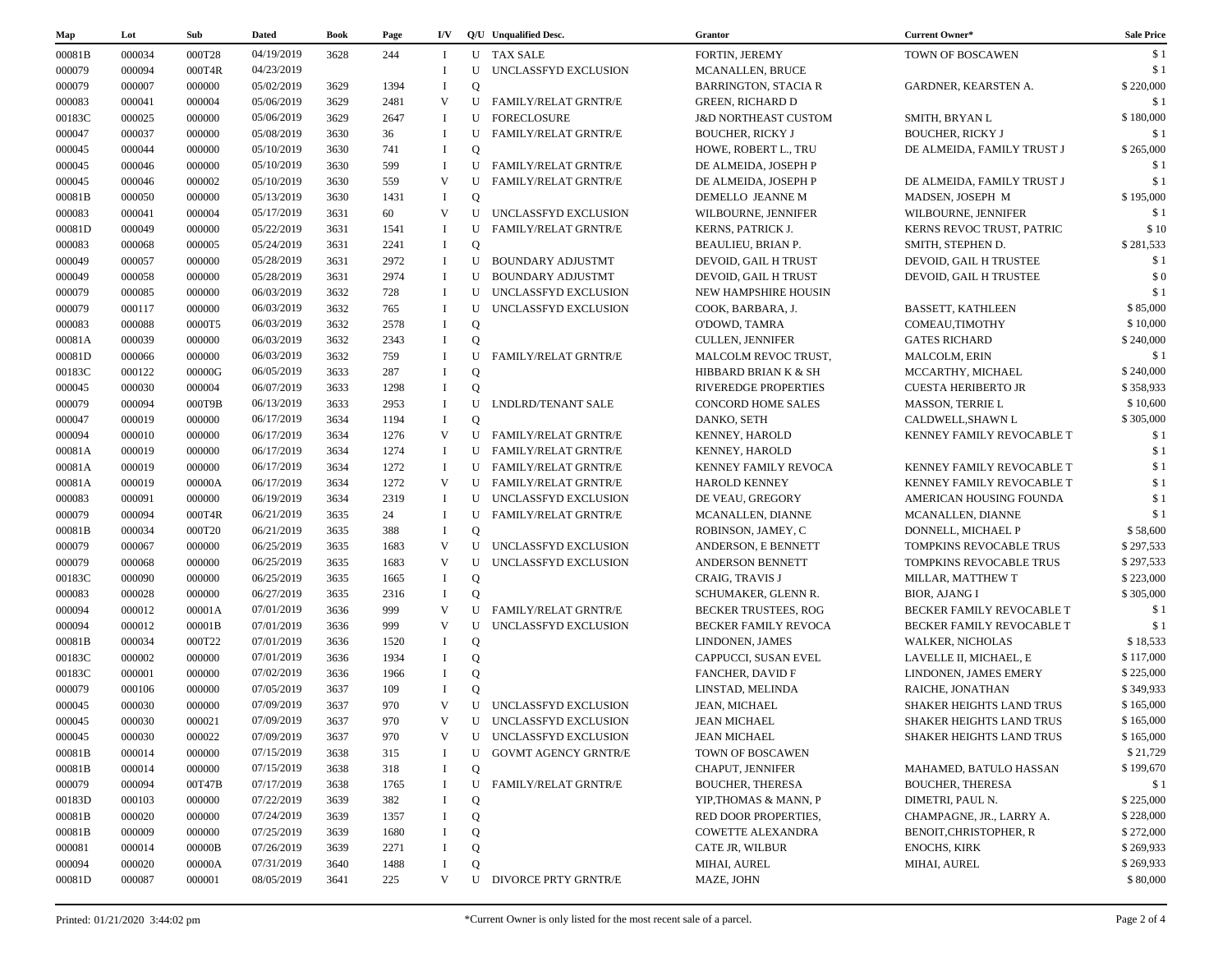| Map    | Lot    | Sub    | <b>Dated</b> | Book | Page | I/V          |              | Q/U Unqualified Desc.       | <b>Grantor</b>                  | Current Owner*                   | <b>Sale Price</b> |
|--------|--------|--------|--------------|------|------|--------------|--------------|-----------------------------|---------------------------------|----------------------------------|-------------------|
| 00081B | 000034 | 000T28 | 04/19/2019   | 3628 | 244  | Т.           |              | <b>U</b> TAX SALE           | FORTIN, JEREMY                  | <b>TOWN OF BOSCAWEN</b>          | \$1               |
| 000079 | 000094 | 000T4R | 04/23/2019   |      |      | $\mathbf I$  | U            | UNCLASSFYD EXCLUSION        | <b>MCANALLEN, BRUCE</b>         |                                  | \$1               |
| 000079 | 000007 | 000000 | 05/02/2019   | 3629 | 1394 | $\mathbf I$  | $\mathbf Q$  |                             | <b>BARRINGTON, STACIA R</b>     | GARDNER, KEARSTEN A.             | \$220,000         |
| 000083 | 000041 | 000004 | 05/06/2019   | 3629 | 2481 | V            | U            | <b>FAMILY/RELAT GRNTR/E</b> | <b>GREEN, RICHARD D</b>         |                                  | \$1               |
| 00183C | 000025 | 000000 | 05/06/2019   | 3629 | 2647 | $\mathbf I$  | U            | FORECLOSURE                 | <b>J&amp;D NORTHEAST CUSTOM</b> | SMITH, BRYAN L                   | \$180,000         |
| 000047 | 000037 | 000000 | 05/08/2019   | 3630 | 36   | $\mathbf I$  |              | U FAMILY/RELAT GRNTR/E      | <b>BOUCHER, RICKY J</b>         | <b>BOUCHER, RICKY J</b>          | \$1               |
| 000045 | 000044 | 000000 | 05/10/2019   | 3630 | 741  | $\bf{I}$     | $\mathbf Q$  |                             | HOWE, ROBERT L., TRU            | DE ALMEIDA, FAMILY TRUST J       | \$265,000         |
| 000045 | 000046 | 000000 | 05/10/2019   | 3630 | 599  | $\bf{I}$     | U            | <b>FAMILY/RELAT GRNTR/E</b> | DE ALMEIDA, JOSEPH P            |                                  | \$1               |
| 000045 | 000046 | 000002 | 05/10/2019   | 3630 | 559  | V            | U            | <b>FAMILY/RELAT GRNTR/E</b> | DE ALMEIDA, JOSEPH P            | DE ALMEIDA. FAMILY TRUST J       | \$1               |
| 00081B | 000050 | 000000 | 05/13/2019   | 3630 | 1431 | $\bf{I}$     | $\mathbf Q$  |                             | DEMELLO JEANNE M                | MADSEN, JOSEPH M                 | \$195,000         |
| 000083 | 000041 | 000004 | 05/17/2019   | 3631 | 60   | V            | U            | UNCLASSFYD EXCLUSION        | WILBOURNE, JENNIFER             | WILBOURNE, JENNIFER              | \$1               |
| 00081D | 000049 | 000000 | 05/22/2019   | 3631 | 1541 | - 1          | U            | <b>FAMILY/RELAT GRNTR/E</b> | KERNS, PATRICK J.               | KERNS REVOC TRUST. PATRIC        | \$10              |
| 000083 | 000068 | 000005 | 05/24/2019   | 3631 | 2241 | $\bf{I}$     | $\mathbf Q$  |                             | BEAULIEU, BRIAN P.              | SMITH, STEPHEN D.                | \$281,533         |
| 000049 | 000057 | 000000 | 05/28/2019   | 3631 | 2972 | $\bf{I}$     | U            | <b>BOUNDARY ADJUSTMT</b>    | DEVOID, GAIL H TRUST            | DEVOID, GAIL H TRUSTEE           | \$1               |
| 000049 | 000058 | 000000 | 05/28/2019   | 3631 | 2974 | $\mathbf{I}$ | U            | <b>BOUNDARY ADJUSTMT</b>    | DEVOID, GAIL H TRUST            | DEVOID, GAIL H TRUSTEE           | \$0               |
| 000079 | 000085 | 000000 | 06/03/2019   | 3632 | 728  | - 1          | U            | UNCLASSFYD EXCLUSION        | NEW HAMPSHIRE HOUSIN            |                                  | \$1               |
| 000079 | 000117 | 000000 | 06/03/2019   | 3632 | 765  | - 1          | U            | UNCLASSFYD EXCLUSION        | COOK, BARBARA, J.               | BASSETT, KATHLEEN                | \$85,000          |
| 000083 | 000088 | 0000T5 | 06/03/2019   | 3632 | 2578 | $\bf{I}$     | Q            |                             | O'DOWD, TAMRA                   | COMEAU, TIMOTHY                  | \$10,000          |
| 00081A | 000039 | 000000 | 06/03/2019   | 3632 | 2343 | $\mathbf I$  | $\mathbf{O}$ |                             | <b>CULLEN, JENNIFER</b>         | <b>GATES RICHARD</b>             | \$240,000         |
| 00081D | 000066 | 000000 | 06/03/2019   | 3632 | 759  | $\mathbf{I}$ | U            | <b>FAMILY/RELAT GRNTR/E</b> | MALCOLM REVOC TRUST,            | MALCOLM, ERIN                    | \$1               |
| 00183C | 000122 | 00000G | 06/05/2019   | 3633 | 287  | $\mathbf I$  | $\mathbf Q$  |                             | HIBBARD BRIAN K & SH            | MCCARTHY, MICHAEL                | \$240,000         |
| 000045 | 000030 | 000004 | 06/07/2019   | 3633 | 1298 | $\bf{I}$     | $\mathbf Q$  |                             | RIVEREDGE PROPERTIES            | <b>CUESTA HERIBERTO JR</b>       | \$358,933         |
| 000079 | 000094 | 000T9B | 06/13/2019   | 3633 | 2953 | $\mathbf{I}$ | U            | <b>LNDLRD/TENANT SALE</b>   | <b>CONCORD HOME SALES</b>       | MASSON, TERRIE L                 | \$10,600          |
| 000047 | 000019 | 000000 | 06/17/2019   | 3634 | 1194 | $\bf{I}$     | $\mathbf Q$  |                             | DANKO, SETH                     | CALDWELL, SHAWN L                | \$305,000         |
| 000094 | 000010 | 000000 | 06/17/2019   | 3634 | 1276 | V            | U            | <b>FAMILY/RELAT GRNTR/E</b> | KENNEY, HAROLD                  | KENNEY FAMILY REVOCABLE T        | \$1               |
| 00081A | 000019 | 000000 | 06/17/2019   | 3634 | 1274 | -1           |              | U FAMILY/RELAT GRNTR/E      | KENNEY, HAROLD                  |                                  | \$1               |
| 00081A | 000019 | 000000 | 06/17/2019   | 3634 | 1272 | $\bf{I}$     | U            | FAMILY/RELAT GRNTR/E        | KENNEY FAMILY REVOCA            | KENNEY FAMILY REVOCABLE T        | \$1               |
| 00081A | 000019 | 00000A | 06/17/2019   | 3634 | 1272 | V            | U            | <b>FAMILY/RELAT GRNTR/E</b> | HAROLD KENNEY                   | KENNEY FAMILY REVOCABLE T        | \$1               |
| 000083 | 000091 | 000000 | 06/19/2019   | 3634 | 2319 | - 1          | U            | UNCLASSFYD EXCLUSION        | DE VEAU, GREGORY                | AMERICAN HOUSING FOUNDA          | \$1               |
| 000079 | 000094 | 000T4R | 06/21/2019   | 3635 | 24   | $\mathbf{I}$ | U            | <b>FAMILY/RELAT GRNTR/E</b> | MCANALLEN, DIANNE               | MCANALLEN, DIANNE                | \$1               |
| 00081B | 000034 | 000T20 | 06/21/2019   | 3635 | 388  | $\mathbf I$  | $\mathbf Q$  |                             | ROBINSON, JAMEY, C              | DONNELL, MICHAEL P               | \$58,600          |
| 000079 | 000067 | 000000 | 06/25/2019   | 3635 | 1683 | V            | U            | UNCLASSFYD EXCLUSION        | ANDERSON, E BENNETT             | TOMPKINS REVOCABLE TRUS          | \$297,533         |
| 000079 | 000068 | 000000 | 06/25/2019   | 3635 | 1683 | V            | U            | UNCLASSFYD EXCLUSION        | ANDERSON BENNETT                | TOMPKINS REVOCABLE TRUS          | \$297,533         |
| 00183C | 000090 | 000000 | 06/25/2019   | 3635 | 1665 | $\mathbf I$  | Q            |                             | <b>CRAIG, TRAVIS J</b>          | MILLAR, MATTHEW T                | \$223,000         |
| 000083 | 000028 | 000000 | 06/27/2019   | 3635 | 2316 | $\bf{I}$     | $\mathbf{O}$ |                             | SCHUMAKER, GLENN R.             | <b>BIOR, AJANG I</b>             | \$305,000         |
| 000094 | 000012 | 00001A | 07/01/2019   | 3636 | 999  | V            | U            | <b>FAMILY/RELAT GRNTR/E</b> | BECKER TRUSTEES, ROG            | BECKER FAMILY REVOCABLE T        | \$1               |
| 000094 | 000012 | 00001B | 07/01/2019   | 3636 | 999  | V            | U            | UNCLASSFYD EXCLUSION        | BECKER FAMILY REVOCA            | <b>BECKER FAMILY REVOCABLE T</b> | \$1               |
| 00081B | 000034 | 000T22 | 07/01/2019   | 3636 | 1520 | $\mathbf{I}$ | Q            |                             | LINDONEN, JAMES                 | <b>WALKER, NICHOLAS</b>          | \$18,533          |
| 00183C | 000002 | 000000 | 07/01/2019   | 3636 | 1934 | -1           | Q            |                             | CAPPUCCI, SUSAN EVEL            | LAVELLE II, MICHAEL, E           | \$117,000         |
| 00183C | 000001 | 000000 | 07/02/2019   | 3636 | 1966 | $\mathbf I$  | $\mathbf Q$  |                             | <b>FANCHER, DAVID F</b>         | LINDONEN, JAMES EMERY            | \$225,000         |
| 000079 | 000106 | 000000 | 07/05/2019   | 3637 | 109  | $\mathbf I$  | $\Omega$     |                             | LINSTAD, MELINDA                | RAICHE, JONATHAN                 | \$349,933         |
| 000045 | 000030 | 000000 | 07/09/2019   | 3637 | 970  | V            | U            | UNCLASSFYD EXCLUSION        | <b>JEAN, MICHAEL</b>            | <b>SHAKER HEIGHTS LAND TRUS</b>  | \$165,000         |
| 000045 | 000030 | 000021 | 07/09/2019   | 3637 | 970  | V            | U            | UNCLASSFYD EXCLUSION        | <b>JEAN MICHAEL</b>             | SHAKER HEIGHTS LAND TRUS         | \$165,000         |
| 000045 | 000030 | 000022 | 07/09/2019   | 3637 | 970  | V            |              | U UNCLASSFYD EXCLUSION      | <b>JEAN MICHAEL</b>             | <b>SHAKER HEIGHTS LAND TRUS</b>  | \$165,000         |
| 00081B | 000014 | 000000 | 07/15/2019   | 3638 | 315  |              | U            | <b>GOVMT AGENCY GRNTR/E</b> | TOWN OF BOSCAWEN                |                                  | \$21,729          |
| 00081B | 000014 | 000000 | 07/15/2019   | 3638 | 318  | $\bf{I}$     | Q            |                             | CHAPUT, JENNIFER                | MAHAMED, BATULO HASSAN           | \$199,670         |
| 000079 | 000094 | 00T47B | 07/17/2019   | 3638 | 1765 | - 1          | U            | <b>FAMILY/RELAT GRNTR/E</b> | <b>BOUCHER, THERESA</b>         | <b>BOUCHER, THERESA</b>          | \$1               |
| 00183D | 000103 | 000000 | 07/22/2019   | 3639 | 382  | П            | Q            |                             | YIP, THOMAS & MANN, P           | DIMETRI, PAUL N.                 | \$225,000         |
| 00081B | 000020 | 000000 | 07/24/2019   | 3639 | 1357 | -1           | Q            |                             | RED DOOR PROPERTIES,            | CHAMPAGNE, JR., LARRY A.         | \$228,000         |
| 00081B | 000009 | 000000 | 07/25/2019   | 3639 | 1680 |              | Q            |                             | <b>COWETTE ALEXANDRA</b>        | BENOIT, CHRISTOPHER, R           | \$272,000         |
| 000081 | 000014 | 00000B | 07/26/2019   | 3639 | 2271 |              | Q            |                             | CATE JR, WILBUR                 | <b>ENOCHS, KIRK</b>              | \$269,933         |
|        |        | 00000A | 07/31/2019   | 3640 | 1488 |              | Q            |                             | MIHAI, AUREL                    | MIHAI, AUREL                     | \$269,933         |
| 000094 | 000020 |        |              |      |      |              |              |                             |                                 |                                  |                   |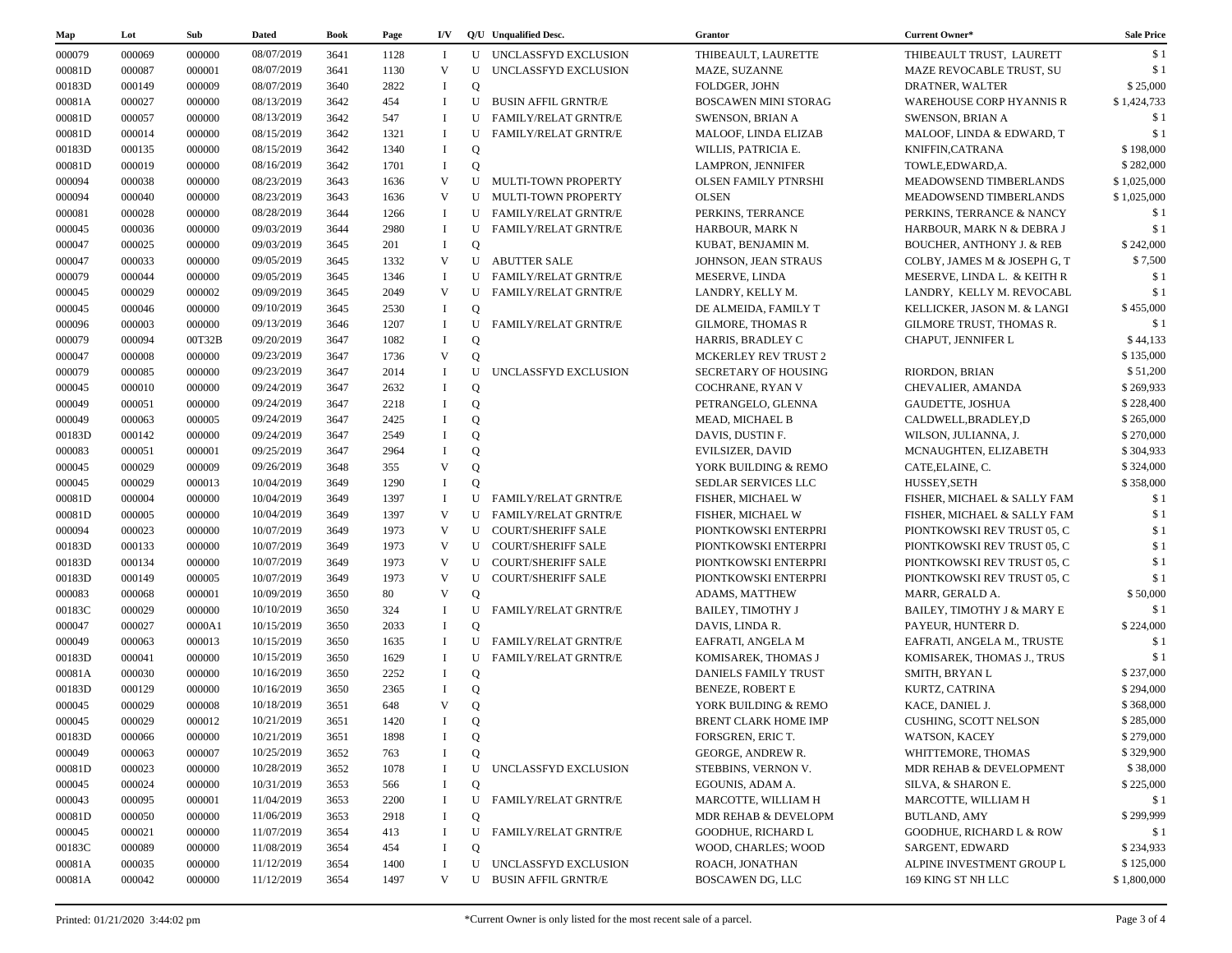| Map              | Lot              | Sub              | <b>Dated</b> | Book         | Page        | I/V                        |                         | O/U Unqualified Desc.       | Grantor                     | Current Owner*                                  | <b>Sale Price</b>      |
|------------------|------------------|------------------|--------------|--------------|-------------|----------------------------|-------------------------|-----------------------------|-----------------------------|-------------------------------------------------|------------------------|
| 000079           | 000069           | 000000           | 08/07/2019   | 3641         | 1128        | - 1                        |                         | U UNCLASSFYD EXCLUSION      | THIBEAULT, LAURETTE         | THIBEAULT TRUST, LAURETT                        | \$1                    |
| 00081D           | 000087           | 000001           | 08/07/2019   | 3641         | 1130        | V                          | U                       | UNCLASSFYD EXCLUSION        | MAZE, SUZANNE               | MAZE REVOCABLE TRUST, SU                        | \$1                    |
| 00183D           | 000149           | 000009           | 08/07/2019   | 3640         | 2822        | $\bf{I}$                   | $\mathbf Q$             |                             | FOLDGER, JOHN               | DRATNER, WALTER                                 | \$25,000               |
| 00081A           | 000027           | 000000           | 08/13/2019   | 3642         | 454         | $\bf{I}$                   | U                       | <b>BUSIN AFFIL GRNTR/E</b>  | <b>BOSCAWEN MINI STORAG</b> | <b>WAREHOUSE CORP HYANNIS R</b>                 | \$1,424,733            |
| 00081D           | 000057           | 000000           | 08/13/2019   | 3642         | 547         | $\mathbf I$                | U                       | <b>FAMILY/RELAT GRNTR/E</b> | <b>SWENSON, BRIAN A</b>     | <b>SWENSON, BRIAN A</b>                         | \$1                    |
| 00081D           | 000014           | 000000           | 08/15/2019   | 3642         | 1321        | $\mathbf I$                | U                       | <b>FAMILY/RELAT GRNTR/E</b> | MALOOF, LINDA ELIZAB        | MALOOF, LINDA & EDWARD, T                       | \$1                    |
| 00183D           | 000135           | 000000           | 08/15/2019   | 3642         | 1340        | $\bf{I}$                   | Q                       |                             | WILLIS, PATRICIA E.         | KNIFFIN, CATRANA                                | \$198,000              |
| 00081D           | 000019           | 000000           | 08/16/2019   | 3642         | 1701        | $\mathbf I$                | Q                       |                             | LAMPRON, JENNIFER           | TOWLE, EDWARD, A.                               | \$282,000              |
| 000094           | 000038           | 000000           | 08/23/2019   | 3643         | 1636        | V                          |                         | U MULTI-TOWN PROPERTY       | <b>OLSEN FAMILY PTNRSHI</b> | MEADOWSEND TIMBERLANDS                          | \$1,025,000            |
| 000094           | 000040           | 000000           | 08/23/2019   | 3643         | 1636        | V                          |                         | U MULTI-TOWN PROPERTY       | <b>OLSEN</b>                | MEADOWSEND TIMBERLANDS                          | \$1,025,000            |
| 000081           | 000028           | 000000           | 08/28/2019   | 3644         | 1266        | $\bf{I}$                   |                         | U FAMILY/RELAT GRNTR/E      | PERKINS, TERRANCE           | PERKINS, TERRANCE & NANCY                       | \$1                    |
| 000045           | 000036           | 000000           | 09/03/2019   | 3644         | 2980        | $\mathbf{I}$               | U                       | <b>FAMILY/RELAT GRNTR/E</b> | HARBOUR, MARK N             | HARBOUR, MARK N & DEBRA J                       | \$1                    |
| 000047           | 000025           | 000000           | 09/03/2019   | 3645         | 201         | $\bf{I}$                   | $\mathbf Q$             |                             | KUBAT, BENJAMIN M.          | <b>BOUCHER, ANTHONY J. &amp; REB</b>            | \$242,000              |
| 000047           | 000033           | 000000           | 09/05/2019   | 3645         | 1332        | V                          |                         | <b>U ABUTTER SALE</b>       | JOHNSON, JEAN STRAUS        | COLBY, JAMES M & JOSEPH G, T                    | \$7,500                |
| 000079           | 000044           | 000000           | 09/05/2019   | 3645         | 1346        | $\mathbf{I}$               | U                       | <b>FAMILY/RELAT GRNTR/E</b> | MESERVE, LINDA              | MESERVE, LINDA L. & KEITH R                     | \$1                    |
| 000045           | 000029           | 000002           | 09/09/2019   | 3645         | 2049        | V                          | U                       | <b>FAMILY/RELAT GRNTR/E</b> | LANDRY, KELLY M.            | LANDRY, KELLY M. REVOCABL                       | \$1                    |
| 000045           | 000046           | 000000           | 09/10/2019   | 3645         | 2530        | $\bf{I}$                   | $\mathbf Q$             |                             | DE ALMEIDA, FAMILY T        | KELLICKER, JASON M. & LANGI                     | \$455,000              |
| 000096           | 000003           | 000000           | 09/13/2019   | 3646         | 1207        | $\mathbf I$                | U                       | <b>FAMILY/RELAT GRNTR/E</b> | <b>GILMORE, THOMAS R</b>    | GILMORE TRUST, THOMAS R.                        | \$1                    |
| 000079           | 000094           | 00T32B           | 09/20/2019   | 3647         | 1082        | $\mathbf I$                | Q                       |                             | HARRIS, BRADLEY C           | CHAPUT, JENNIFER L                              | \$44,133               |
| 000047           | 000008           | 000000           | 09/23/2019   | 3647         | 1736        | $\mathbf{V}$               | $\mathbf{O}$            |                             | <b>MCKERLEY REV TRUST 2</b> |                                                 | \$135,000              |
| 000079           | 000085           | 000000           | 09/23/2019   | 3647         | 2014        | $\mathbf{I}$               | U                       | UNCLASSFYD EXCLUSION        | SECRETARY OF HOUSING        | <b>RIORDON, BRIAN</b>                           | \$51,200               |
| 000045           | 000010           | 000000           | 09/24/2019   | 3647         | 2632        | $\mathbf I$                | $\mathbf Q$             |                             | COCHRANE, RYAN V            | CHEVALIER, AMANDA                               | \$269,933              |
| 000049           | 000051           | 000000           | 09/24/2019   | 3647         | 2218        | $\mathbf I$                | $\mathbf Q$             |                             | PETRANGELO, GLENNA          | GAUDETTE, JOSHUA                                | \$228,400              |
| 000049           | 000063           | 000005           | 09/24/2019   | 3647         | 2425        | $\mathbf I$                | $\mathbf Q$             |                             | <b>MEAD, MICHAEL B</b>      | CALDWELL, BRADLEY, D                            | \$265,000              |
| 00183D           | 000142           | 000000           | 09/24/2019   | 3647         | 2549        | $\mathbf{I}$               | $\mathbf Q$             |                             | DAVIS, DUSTIN F.            | WILSON, JULIANNA, J.                            | \$270,000              |
| 000083           | 000051           | 000001           | 09/25/2019   | 3647         | 2964        |                            | $\overline{O}$          |                             | <b>EVILSIZER, DAVID</b>     | MCNAUGHTEN, ELIZABETH                           | \$304,933              |
| 000045           | 000029           | 000009           | 09/26/2019   | 3648         | 355         | V                          | Q                       |                             | YORK BUILDING & REMO        | CATE, ELAINE, C.                                | \$324,000              |
| 000045           | 000029           | 000013           | 10/04/2019   | 3649         | 1290        | $\mathbf I$                | $\mathbf{O}$            |                             | SEDLAR SERVICES LLC         | HUSSEY, SETH                                    | \$358,000              |
| 00081D           | 000004           | 000000           | 10/04/2019   | 3649         | 1397        | $\mathbf I$                | U                       | <b>FAMILY/RELAT GRNTR/E</b> | FISHER, MICHAEL W           | FISHER, MICHAEL & SALLY FAM                     | \$1                    |
| 00081D           | 000005           | 000000           | 10/04/2019   | 3649         | 1397        | V                          | U                       | <b>FAMILY/RELAT GRNTR/E</b> | FISHER, MICHAEL W           | FISHER, MICHAEL & SALLY FAM                     | \$1                    |
| 000094           | 000023           | 000000           | 10/07/2019   | 3649         | 1973        | V                          |                         | U COURT/SHERIFF SALE        | PIONTKOWSKI ENTERPRI        | PIONTKOWSKI REV TRUST 05, C                     | \$1                    |
| 00183D           | 000133           | 000000           | 10/07/2019   | 3649         | 1973        | V                          |                         | U COURT/SHERIFF SALE        | PIONTKOWSKI ENTERPRI        | PIONTKOWSKI REV TRUST 05, C                     | \$1                    |
| 00183D           | 000134           | 000000           | 10/07/2019   | 3649         | 1973        | V                          |                         | U COURT/SHERIFF SALE        | PIONTKOWSKI ENTERPRI        | PIONTKOWSKI REV TRUST 05, C                     | \$1                    |
| 00183D           | 000149           | 000005           | 10/07/2019   | 3649         | 1973        | V                          |                         | U COURT/SHERIFF SALE        | PIONTKOWSKI ENTERPRI        | PIONTKOWSKI REV TRUST 05, C                     | \$1                    |
|                  |                  |                  | 10/09/2019   |              | 80          | V                          |                         |                             |                             |                                                 | \$50,000               |
| 000083           | 000068           | 000001           | 10/10/2019   | 3650         |             | -1                         | $\mathbf Q$<br>U        |                             | ADAMS, MATTHEW              | MARR, GERALD A.                                 | \$1                    |
| 00183C           | 000029<br>000027 | 000000<br>0000A1 | 10/15/2019   | 3650<br>3650 | 324<br>2033 | $\bf{I}$                   | $\mathbf Q$             | <b>FAMILY/RELAT GRNTR/E</b> | <b>BAILEY, TIMOTHY J</b>    | BAILEY, TIMOTHY J & MARY E                      |                        |
| 000047           |                  |                  |              |              |             | $\mathbf{I}$               | U                       |                             | DAVIS, LINDA R.             | PAYEUR, HUNTERR D.                              | \$224,000              |
| 000049           | 000063           | 000013           | 10/15/2019   | 3650         | 1635        |                            |                         | <b>FAMILY/RELAT GRNTR/E</b> | EAFRATI, ANGELA M           | EAFRATI, ANGELA M., TRUSTE                      | \$1<br>\$1             |
| 00183D           | 000041           | 000000           | 10/15/2019   | 3650         | 1629        | - 1                        | U                       | <b>FAMILY/RELAT GRNTR/E</b> | KOMISAREK, THOMAS J         | KOMISAREK, THOMAS J., TRUS                      |                        |
| 00081A           | 000030           | 000000           | 10/16/2019   | 3650         | 2252        | $\mathbf I$<br>$\mathbf I$ | $\mathbf Q$             |                             | DANIELS FAMILY TRUST        | SMITH, BRYAN L                                  | \$237,000              |
| 00183D           | 000129           | 000000           | 10/16/2019   | 3650         | 2365        | V                          | $\mathbf Q$             |                             | <b>BENEZE, ROBERT E</b>     | KURTZ, CATRINA                                  | \$294,000              |
| 000045<br>000045 | 000029<br>000029 | 000008<br>000012 | 10/18/2019   | 3651         | 648         | $\mathbf{I}$               | $\mathbf Q$<br>$\Omega$ |                             | YORK BUILDING & REMO        | KACE, DANIEL J.<br><b>CUSHING, SCOTT NELSON</b> | \$368,000<br>\$285,000 |
|                  |                  |                  | 10/21/2019   | 3651         | 1420        |                            |                         |                             | BRENT CLARK HOME IMP        |                                                 |                        |
| 00183D           | 000066           | 000000           | 10/21/2019   | 3651         | 1898        | -1                         | Q                       |                             | FORSGREN, ERIC T.           | WATSON, KACEY                                   | \$279,000              |
| 000049           | 000063           | 000007           | 10/25/2019   | 3652         | 763         | $\mathbf I$                | Q                       |                             | GEORGE, ANDREW R.           | WHITTEMORE, THOMAS                              | \$329,900              |
| 00081D           | 000023           | 000000           | 10/28/2019   | 3652         | 1078        | -1                         | U                       | UNCLASSFYD EXCLUSION        | STEBBINS, VERNON V.         | MDR REHAB & DEVELOPMENT                         | \$38,000               |
| 000045           | 000024           | 000000           | 10/31/2019   | 3653         | 566         | -1                         | Q                       |                             | EGOUNIS, ADAM A.            | SILVA, & SHARON E.                              | \$225,000              |
| 000043           | 000095           | 000001           | 11/04/2019   | 3653         | 2200        | $\bf{I}$                   | U                       | FAMILY/RELAT GRNTR/E        | MARCOTTE, WILLIAM H         | MARCOTTE, WILLIAM H                             | \$1                    |
| 00081D           | 000050           | 000000           | 11/06/2019   | 3653         | 2918        | - 1                        | Q                       |                             | MDR REHAB & DEVELOPM        | <b>BUTLAND, AMY</b>                             | \$299,999              |
| 000045           | 000021           | 000000           | 11/07/2019   | 3654         | 413         | $\bf{I}$                   |                         | U FAMILY/RELAT GRNTR/E      | <b>GOODHUE, RICHARD L</b>   | <b>GOODHUE, RICHARD L &amp; ROW</b>             | \$1                    |
| 00183C           | 000089           | 000000           | 11/08/2019   | 3654         | 454         | - 1                        | $\mathbf Q$             |                             | WOOD, CHARLES; WOOD         | SARGENT, EDWARD                                 | \$234,933              |
| 00081A           | 000035           | 000000           | 11/12/2019   | 3654         | 1400        | - 1                        | U                       | UNCLASSFYD EXCLUSION        | ROACH, JONATHAN             | ALPINE INVESTMENT GROUP L                       | \$125,000              |
| 00081A           | 000042           | 000000           | 11/12/2019   | 3654         | 1497        | V                          | U                       | BUSIN AFFIL GRNTR/E         | <b>BOSCAWEN DG, LLC</b>     | 169 KING ST NH LLC                              | \$1,800,000            |